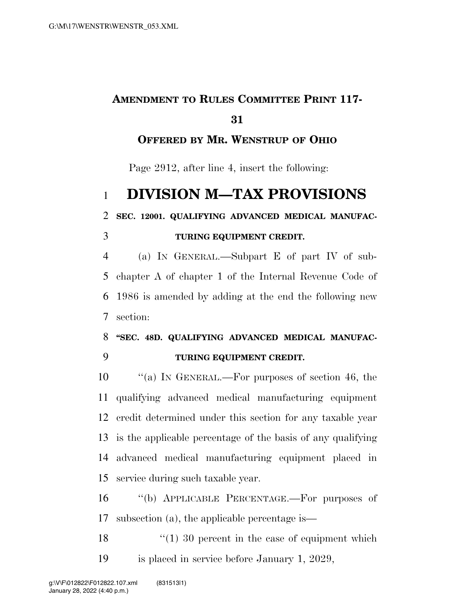# **AMENDMENT TO RULES COMMITTEE PRINT 117-**

#### 

### **OFFERED BY MR. WENSTRUP OF OHIO**

Page 2912, after line 4, insert the following:

## **DIVISION M—TAX PROVISIONS**

**SEC. 12001. QUALIFYING ADVANCED MEDICAL MANUFAC-**

#### **TURING EQUIPMENT CREDIT.**

 (a) IN GENERAL.—Subpart E of part IV of sub- chapter A of chapter 1 of the Internal Revenue Code of 1986 is amended by adding at the end the following new section:

### **''SEC. 48D. QUALIFYING ADVANCED MEDICAL MANUFAC-TURING EQUIPMENT CREDIT.**

 ''(a) IN GENERAL.—For purposes of section 46, the qualifying advanced medical manufacturing equipment credit determined under this section for any taxable year is the applicable percentage of the basis of any qualifying advanced medical manufacturing equipment placed in service during such taxable year.

 ''(b) APPLICABLE PERCENTAGE.—For purposes of subsection (a), the applicable percentage is—

18  $\frac{1}{20}$  18  $\frac{1}{20}$  percent in the case of equipment which is placed in service before January 1, 2029,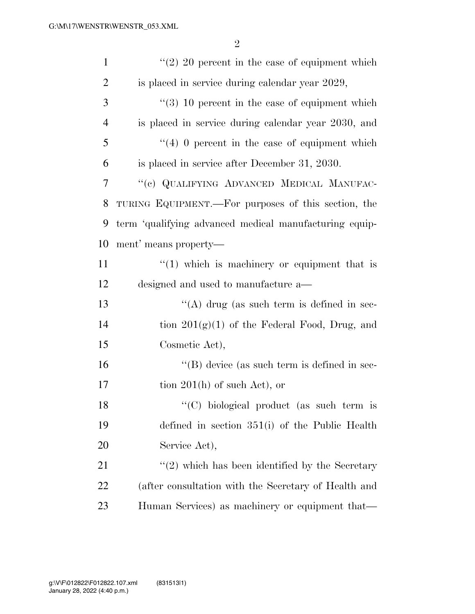2

| $\mathbf{1}$   | $\lq(2)$ 20 percent in the case of equipment which     |
|----------------|--------------------------------------------------------|
| $\overline{2}$ | is placed in service during calendar year 2029,        |
| 3              | $\lq(3)$ 10 percent in the case of equipment which     |
| $\overline{4}$ | is placed in service during calendar year 2030, and    |
| 5              | $(4)$ 0 percent in the case of equipment which         |
| 6              | is placed in service after December 31, 2030.          |
| 7              | "(c) QUALIFYING ADVANCED MEDICAL MANUFAC-              |
| 8              | TURING EQUIPMENT.—For purposes of this section, the    |
| 9              | term 'qualifying advanced medical manufacturing equip- |
| 10             | ment' means property—                                  |
| 11             | $\lq(1)$ which is machinery or equipment that is       |
| 12             | designed and used to manufacture a—                    |
| 13             | "(A) drug (as such term is defined in sec-             |
| 14             | tion $201(g)(1)$ of the Federal Food, Drug, and        |
| 15             | Cosmetic Act),                                         |
| 16             | $\lq\lq$ device (as such term is defined in sec-       |
| 17             | tion $201(h)$ of such Act), or                         |
| 18             | " $(C)$ biological product (as such term is            |
| 19             | defined in section $351(i)$ of the Public Health       |
| 20             | Service Act),                                          |
| 21             | $\lq(2)$ which has been identified by the Secretary    |
| <u>22</u>      | (after consultation with the Secretary of Health and   |
| 23             | Human Services) as machinery or equipment that—        |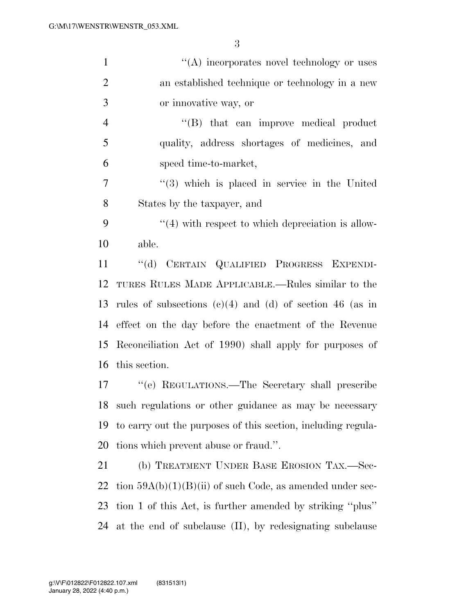| $\mathbf{1}$   | $\lq\lq$ incorporates novel technology or uses               |
|----------------|--------------------------------------------------------------|
| $\overline{2}$ | an established technique or technology in a new              |
| 3              | or innovative way, or                                        |
| $\overline{4}$ | $\lq\lq$ that can improve medical product                    |
| $\mathfrak{S}$ | quality, address shortages of medicines, and                 |
| 6              | speed time-to-market,                                        |
| $\overline{7}$ | $\cdot\cdot$ (3) which is placed in service in the United    |
| 8              | States by the taxpayer, and                                  |
| 9              | $\cdot$ (4) with respect to which depreciation is allow-     |
| 10             | able.                                                        |
| 11             | "(d) CERTAIN QUALIFIED PROGRESS EXPENDI-                     |
| 12             | TURES RULES MADE APPLICABLE.—Rules similar to the            |
| 13             | rules of subsections $(c)(4)$ and $(d)$ of section 46 (as in |
| 14             | effect on the day before the enactment of the Revenue        |
| 15             | Reconciliation Act of 1990) shall apply for purposes of      |
| 16             | this section.                                                |
| 17             | "(e) REGULATIONS.—The Secretary shall prescribe              |
|                | 18 such regulations or other guidance as may be necessary    |
| 19             | to carry out the purposes of this section, including regula- |
| 20             | tions which prevent abuse or fraud.".                        |
| 21             | (b) TREATMENT UNDER BASE EROSION TAX.-Sec-                   |
| <u>22</u>      | tion $59A(b)(1)(B)(ii)$ of such Code, as amended under sec-  |
| 23             | tion 1 of this Act, is further amended by striking "plus"    |
| 24             | at the end of subclause $(II)$ , by redesignating subclause  |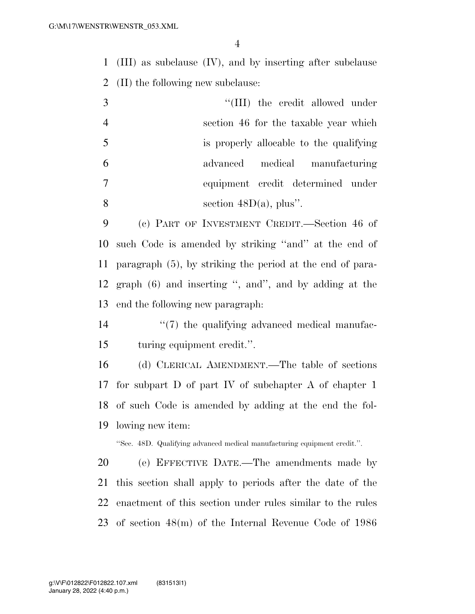(III) as subclause (IV), and by inserting after subclause (II) the following new subclause:

 $\frac{1}{11}$  the credit allowed under section 46 for the taxable year which is properly allocable to the qualifying advanced medical manufacturing equipment credit determined under 8 section  $48D(a)$ , plus".

 (c) PART OF INVESTMENT CREDIT.—Section 46 of such Code is amended by striking ''and'' at the end of paragraph (5), by striking the period at the end of para- graph (6) and inserting '', and'', and by adding at the end the following new paragraph:

14  $\frac{1}{2}$  (7) the qualifying advanced medical manufac-turing equipment credit.''.

 (d) CLERICAL AMENDMENT.—The table of sections for subpart D of part IV of subchapter A of chapter 1 of such Code is amended by adding at the end the fol-lowing new item:

''Sec. 48D. Qualifying advanced medical manufacturing equipment credit.''.

 (e) EFFECTIVE DATE.—The amendments made by this section shall apply to periods after the date of the enactment of this section under rules similar to the rules of section 48(m) of the Internal Revenue Code of 1986